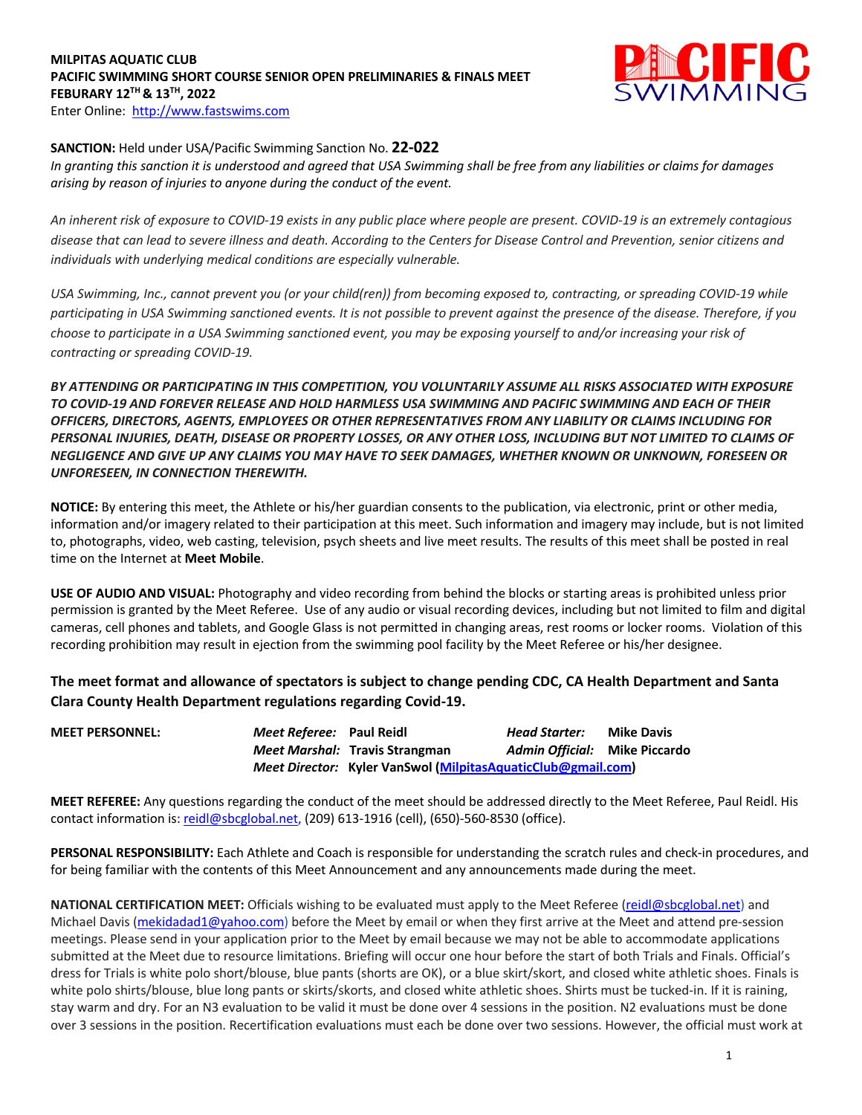#### **MILPITAS AQUATIC CLUB PACIFIC SWIMMING SHORT COURSE SENIOR OPEN PRELIMINARIES & FINALS MEET FEBURARY 12TH & 13TH, 2022**  Enter Online: http://www.fastswims.com



### **SANCTION:** Held under USA/Pacific Swimming Sanction No. **22-022**

*In granting this sanction it is understood and agreed that USA Swimming shall be free from any liabilities or claims for damages arising by reason of injuries to anyone during the conduct of the event.* 

*An inherent risk of exposure to COVID-19 exists in any public place where people are present. COVID-19 is an extremely contagious disease that can lead to severe illness and death. According to the Centers for Disease Control and Prevention, senior citizens and individuals with underlying medical conditions are especially vulnerable.*

*USA Swimming, Inc., cannot prevent you (or your child(ren)) from becoming exposed to, contracting, or spreading COVID-19 while participating in USA Swimming sanctioned events. It is not possible to prevent against the presence of the disease. Therefore, if you choose to participate in a USA Swimming sanctioned event, you may be exposing yourself to and/or increasing your risk of contracting or spreading COVID-19.*

*BY ATTENDING OR PARTICIPATING IN THIS COMPETITION, YOU VOLUNTARILY ASSUME ALL RISKS ASSOCIATED WITH EXPOSURE TO COVID-19 AND FOREVER RELEASE AND HOLD HARMLESS USA SWIMMING AND PACIFIC SWIMMING AND EACH OF THEIR OFFICERS, DIRECTORS, AGENTS, EMPLOYEES OR OTHER REPRESENTATIVES FROM ANY LIABILITY OR CLAIMS INCLUDING FOR PERSONAL INJURIES, DEATH, DISEASE OR PROPERTY LOSSES, OR ANY OTHER LOSS, INCLUDING BUT NOT LIMITED TO CLAIMS OF NEGLIGENCE AND GIVE UP ANY CLAIMS YOU MAY HAVE TO SEEK DAMAGES, WHETHER KNOWN OR UNKNOWN, FORESEEN OR UNFORESEEN, IN CONNECTION THEREWITH.*

**NOTICE:** By entering this meet, the Athlete or his/her guardian consents to the publication, via electronic, print or other media, information and/or imagery related to their participation at this meet. Such information and imagery may include, but is not limited to, photographs, video, web casting, television, psych sheets and live meet results. The results of this meet shall be posted in real time on the Internet at **Meet Mobile**.

**USE OF AUDIO AND VISUAL:** Photography and video recording from behind the blocks or starting areas is prohibited unless prior permission is granted by the Meet Referee. Use of any audio or visual recording devices, including but not limited to film and digital cameras, cell phones and tablets, and Google Glass is not permitted in changing areas, rest rooms or locker rooms. Violation of this recording prohibition may result in ejection from the swimming pool facility by the Meet Referee or his/her designee.

**The meet format and allowance of spectators is subject to change pending CDC, CA Health Department and Santa Clara County Health Department regulations regarding Covid-19.**

| <b>MEET PERSONNEL:</b> | Meet Referee: Paul Reidl |                                                              | <b>Head Starter:</b>          | <b>Mike Davis</b> |
|------------------------|--------------------------|--------------------------------------------------------------|-------------------------------|-------------------|
|                        |                          | Meet Marshal: Travis Strangman                               | Admin Official: Mike Piccardo |                   |
|                        |                          | Meet Director: Kyler VanSwol (MilpitasAquaticClub@gmail.com) |                               |                   |

**MEET REFEREE:** Any questions regarding the conduct of the meet should be addressed directly to the Meet Referee, Paul Reidl. His contact information is: reidl@sbcglobal.net, (209) 613-1916 (cell), (650)-560-8530 (office).

**PERSONAL RESPONSIBILITY:** Each Athlete and Coach is responsible for understanding the scratch rules and check-in procedures, and for being familiar with the contents of this Meet Announcement and any announcements made during the meet.

**NATIONAL CERTIFICATION MEET:** Officials wishing to be evaluated must apply to the Meet Referee (reidl@sbcglobal.net) and Michael Davis (mekidadad1@yahoo.com) before the Meet by email or when they first arrive at the Meet and attend pre-session meetings. Please send in your application prior to the Meet by email because we may not be able to accommodate applications submitted at the Meet due to resource limitations. Briefing will occur one hour before the start of both Trials and Finals. Official's dress for Trials is white polo short/blouse, blue pants (shorts are OK), or a blue skirt/skort, and closed white athletic shoes. Finals is white polo shirts/blouse, blue long pants or skirts/skorts, and closed white athletic shoes. Shirts must be tucked-in. If it is raining, stay warm and dry. For an N3 evaluation to be valid it must be done over 4 sessions in the position. N2 evaluations must be done over 3 sessions in the position. Recertification evaluations must each be done over two sessions. However, the official must work at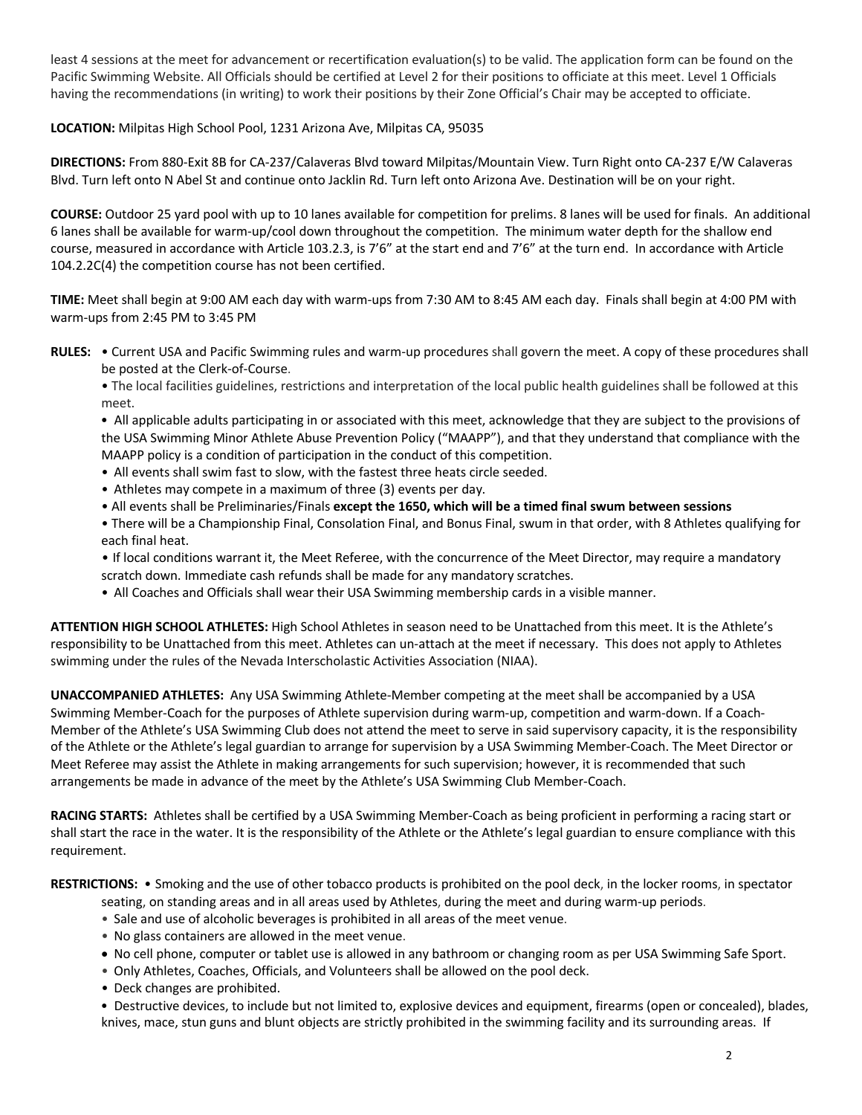least 4 sessions at the meet for advancement or recertification evaluation(s) to be valid. The application form can be found on the Pacific Swimming Website. All Officials should be certified at Level 2 for their positions to officiate at this meet. Level 1 Officials having the recommendations (in writing) to work their positions by their Zone Official's Chair may be accepted to officiate.

# **LOCATION:** Milpitas High School Pool, 1231 Arizona Ave, Milpitas CA, 95035

**DIRECTIONS:** From 880-Exit 8B for CA-237/Calaveras Blvd toward Milpitas/Mountain View. Turn Right onto CA-237 E/W Calaveras Blvd. Turn left onto N Abel St and continue onto Jacklin Rd. Turn left onto Arizona Ave. Destination will be on your right.

**COURSE:** Outdoor 25 yard pool with up to 10 lanes available for competition for prelims. 8 lanes will be used for finals. An additional 6 lanes shall be available for warm-up/cool down throughout the competition. The minimum water depth for the shallow end course, measured in accordance with Article 103.2.3, is 7'6" at the start end and 7'6" at the turn end. In accordance with Article 104.2.2C(4) the competition course has not been certified.

**TIME:** Meet shall begin at 9:00 AM each day with warm-ups from 7:30 AM to 8:45 AM each day. Finals shall begin at 4:00 PM with warm-ups from 2:45 PM to 3:45 PM

**RULES:** • Current USA and Pacific Swimming rules and warm-up procedures shall govern the meet. A copy of these procedures shall be posted at the Clerk-of-Course.

• The local facilities guidelines, restrictions and interpretation of the local public health guidelines shall be followed at this meet.

 • All applicable adults participating in or associated with this meet, acknowledge that they are subject to the provisions of the USA Swimming Minor Athlete Abuse Prevention Policy ("MAAPP"), and that they understand that compliance with the MAAPP policy is a condition of participation in the conduct of this competition.

- All events shall swim fast to slow, with the fastest three heats circle seeded.
- Athletes may compete in a maximum of three (3) events per day.
- All events shall be Preliminaries/Finals **except the 1650, which will be a timed final swum between sessions**
- There will be a Championship Final, Consolation Final, and Bonus Final, swum in that order, with 8 Athletes qualifying for each final heat.

 • If local conditions warrant it, the Meet Referee, with the concurrence of the Meet Director, may require a mandatory scratch down. Immediate cash refunds shall be made for any mandatory scratches.

• All Coaches and Officials shall wear their USA Swimming membership cards in a visible manner.

**ATTENTION HIGH SCHOOL ATHLETES:** High School Athletes in season need to be Unattached from this meet. It is the Athlete's responsibility to be Unattached from this meet. Athletes can un-attach at the meet if necessary. This does not apply to Athletes swimming under the rules of the Nevada Interscholastic Activities Association (NIAA).

**UNACCOMPANIED ATHLETES:** Any USA Swimming Athlete-Member competing at the meet shall be accompanied by a USA Swimming Member-Coach for the purposes of Athlete supervision during warm-up, competition and warm-down. If a Coach-Member of the Athlete's USA Swimming Club does not attend the meet to serve in said supervisory capacity, it is the responsibility of the Athlete or the Athlete's legal guardian to arrange for supervision by a USA Swimming Member-Coach. The Meet Director or Meet Referee may assist the Athlete in making arrangements for such supervision; however, it is recommended that such arrangements be made in advance of the meet by the Athlete's USA Swimming Club Member-Coach.

**RACING STARTS:** Athletes shall be certified by a USA Swimming Member-Coach as being proficient in performing a racing start or shall start the race in the water. It is the responsibility of the Athlete or the Athlete's legal guardian to ensure compliance with this requirement.

**RESTRICTIONS:** • Smoking and the use of other tobacco products is prohibited on the pool deck, in the locker rooms, in spectator

- seating, on standing areas and in all areas used by Athletes, during the meet and during warm-up periods.
- Sale and use of alcoholic beverages is prohibited in all areas of the meet venue.
- No glass containers are allowed in the meet venue.
- No cell phone, computer or tablet use is allowed in any bathroom or changing room as per USA Swimming Safe Sport.
- Only Athletes, Coaches, Officials, and Volunteers shall be allowed on the pool deck.
- Deck changes are prohibited.

 • Destructive devices, to include but not limited to, explosive devices and equipment, firearms (open or concealed), blades, knives, mace, stun guns and blunt objects are strictly prohibited in the swimming facility and its surrounding areas. If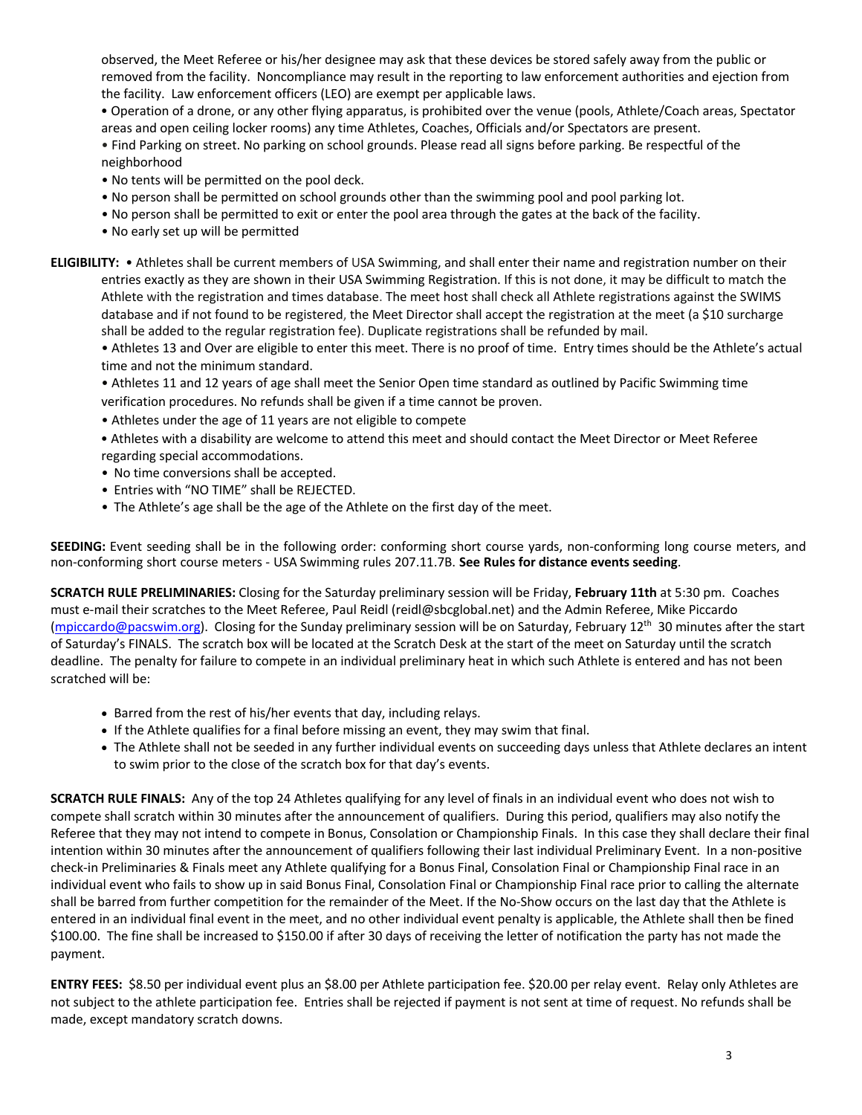observed, the Meet Referee or his/her designee may ask that these devices be stored safely away from the public or removed from the facility. Noncompliance may result in the reporting to law enforcement authorities and ejection from the facility. Law enforcement officers (LEO) are exempt per applicable laws.

 • Operation of a drone, or any other flying apparatus, is prohibited over the venue (pools, Athlete/Coach areas, Spectator areas and open ceiling locker rooms) any time Athletes, Coaches, Officials and/or Spectators are present.

• Find Parking on street. No parking on school grounds. Please read all signs before parking. Be respectful of the neighborhood

- No tents will be permitted on the pool deck.
- No person shall be permitted on school grounds other than the swimming pool and pool parking lot.
- No person shall be permitted to exit or enter the pool area through the gates at the back of the facility.
- No early set up will be permitted

**ELIGIBILITY:** • Athletes shall be current members of USA Swimming, and shall enter their name and registration number on their entries exactly as they are shown in their USA Swimming Registration. If this is not done, it may be difficult to match the Athlete with the registration and times database. The meet host shall check all Athlete registrations against the SWIMS database and if not found to be registered, the Meet Director shall accept the registration at the meet (a \$10 surcharge shall be added to the regular registration fee). Duplicate registrations shall be refunded by mail.

• Athletes 13 and Over are eligible to enter this meet. There is no proof of time. Entry times should be the Athlete's actual time and not the minimum standard.

• Athletes 11 and 12 years of age shall meet the Senior Open time standard as outlined by Pacific Swimming time verification procedures. No refunds shall be given if a time cannot be proven.

- Athletes under the age of 11 years are not eligible to compete
- Athletes with a disability are welcome to attend this meet and should contact the Meet Director or Meet Referee regarding special accommodations.
- No time conversions shall be accepted.
- Entries with "NO TIME" shall be REJECTED.
- The Athlete's age shall be the age of the Athlete on the first day of the meet.

**SEEDING:** Event seeding shall be in the following order: conforming short course yards, non-conforming long course meters, and non-conforming short course meters - USA Swimming rules 207.11.7B. **See Rules for distance events seeding**.

**SCRATCH RULE PRELIMINARIES:** Closing for the Saturday preliminary session will be Friday, **February 11th** at 5:30 pm. Coaches must e-mail their scratches to the Meet Referee, Paul Reidl (reidl@sbcglobal.net) and the Admin Referee, Mike Piccardo (mpiccardo@pacswim.org). Closing for the Sunday preliminary session will be on Saturday, February 12th 30 minutes after the start of Saturday's FINALS. The scratch box will be located at the Scratch Desk at the start of the meet on Saturday until the scratch deadline. The penalty for failure to compete in an individual preliminary heat in which such Athlete is entered and has not been scratched will be:

- Barred from the rest of his/her events that day, including relays.
- If the Athlete qualifies for a final before missing an event, they may swim that final.
- The Athlete shall not be seeded in any further individual events on succeeding days unless that Athlete declares an intent to swim prior to the close of the scratch box for that day's events.

**SCRATCH RULE FINALS:** Any of the top 24 Athletes qualifying for any level of finals in an individual event who does not wish to compete shall scratch within 30 minutes after the announcement of qualifiers. During this period, qualifiers may also notify the Referee that they may not intend to compete in Bonus, Consolation or Championship Finals. In this case they shall declare their final intention within 30 minutes after the announcement of qualifiers following their last individual Preliminary Event. In a non-positive check-in Preliminaries & Finals meet any Athlete qualifying for a Bonus Final, Consolation Final or Championship Final race in an individual event who fails to show up in said Bonus Final, Consolation Final or Championship Final race prior to calling the alternate shall be barred from further competition for the remainder of the Meet. If the No-Show occurs on the last day that the Athlete is entered in an individual final event in the meet, and no other individual event penalty is applicable, the Athlete shall then be fined \$100.00. The fine shall be increased to \$150.00 if after 30 days of receiving the letter of notification the party has not made the payment.

**ENTRY FEES:** \$8.50 per individual event plus an \$8.00 per Athlete participation fee. \$20.00 per relay event. Relay only Athletes are not subject to the athlete participation fee. Entries shall be rejected if payment is not sent at time of request. No refunds shall be made, except mandatory scratch downs.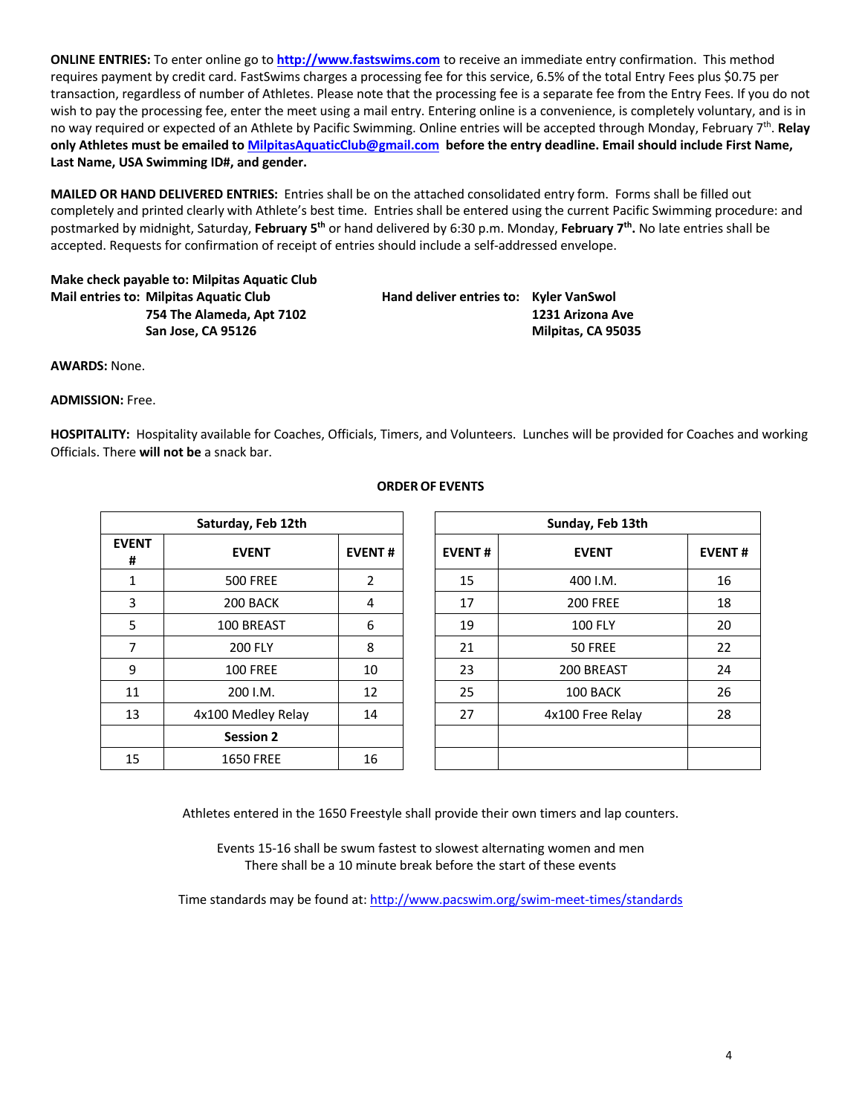**ONLINE ENTRIES:** To enter online go to **http://www.fastswims.com** to receive an immediate entry confirmation. This method requires payment by credit card. FastSwims charges a processing fee for this service, 6.5% of the total Entry Fees plus \$0.75 per transaction, regardless of number of Athletes. Please note that the processing fee is a separate fee from the Entry Fees. If you do not wish to pay the processing fee, enter the meet using a mail entry. Entering online is a convenience, is completely voluntary, and is in no way required or expected of an Athlete by Pacific Swimming. Online entries will be accepted through Monday, February 7th. **Relay only Athletes must be emailed to MilpitasAquaticClub@gmail.com before the entry deadline. Email should include First Name, Last Name, USA Swimming ID#, and gender.**

**MAILED OR HAND DELIVERED ENTRIES:** Entries shall be on the attached consolidated entry form. Forms shall be filled out completely and printed clearly with Athlete's best time. Entries shall be entered using the current Pacific Swimming procedure: and postmarked by midnight, Saturday, **February 5th** or hand delivered by 6:30 p.m. Monday, **February 7th.** No late entries shall be accepted. Requests for confirmation of receipt of entries should include a self-addressed envelope.

**Make check payable to: Milpitas Aquatic Club Mail entries to: Milpitas Aquatic Club Hand deliver entries to: Kyler VanSwol**

**754 The Alameda, Apt 7102 1231 Arizona Ave San Jose, CA 95126 Milpitas, CA 95035** 

**AWARDS:** None.

**ADMISSION:** Free.

**HOSPITALITY:** Hospitality available for Coaches, Officials, Timers, and Volunteers. Lunches will be provided for Coaches and working Officials. There **will not be** a snack bar.

| Saturday, Feb 12th |                    |                |  |  |  |  |  |
|--------------------|--------------------|----------------|--|--|--|--|--|
| <b>EVENT</b><br>#  | <b>EVENT</b>       | <b>EVENT#</b>  |  |  |  |  |  |
| 1                  | <b>500 FREE</b>    | $\overline{2}$ |  |  |  |  |  |
| 3                  | 200 BACK           | 4              |  |  |  |  |  |
| 5                  | 100 BREAST         | 6              |  |  |  |  |  |
| 7                  | <b>200 FLY</b>     | 8              |  |  |  |  |  |
| 9                  | <b>100 FREE</b>    | 10             |  |  |  |  |  |
| 11                 | 200 I.M.           | 12             |  |  |  |  |  |
| 13                 | 4x100 Medley Relay | 14             |  |  |  |  |  |
|                    | <b>Session 2</b>   |                |  |  |  |  |  |
| 15                 | <b>1650 FREE</b>   | 16             |  |  |  |  |  |

# **ORDEROF EVENTS**

|                 | Saturday, Feb 12th |               | Sunday, Feb 13th |                  |               |  |  |  |  |
|-----------------|--------------------|---------------|------------------|------------------|---------------|--|--|--|--|
| <b>ENT</b><br># | <b>EVENT</b>       | <b>EVENT#</b> | <b>EVENT#</b>    | <b>EVENT</b>     | <b>EVENT#</b> |  |  |  |  |
| $\mathbf{1}$    | <b>500 FREE</b>    | 2             | 15               | 400 I.M.         | 16            |  |  |  |  |
| 3               | 200 BACK           | 4             | 17               | <b>200 FREE</b>  | 18            |  |  |  |  |
| 5               | 100 BREAST         | 6             | 19               | <b>100 FLY</b>   | 20            |  |  |  |  |
| $\overline{7}$  | <b>200 FLY</b>     | 8             | 21               | 50 FREE          | 22            |  |  |  |  |
| 9               | <b>100 FREE</b>    | 10            | 23               | 200 BREAST       | 24            |  |  |  |  |
| 11              | 200 I.M.           | 12            | 25               | 100 BACK         | 26            |  |  |  |  |
| 13              | 4x100 Medley Relay | 14            | 27               | 4x100 Free Relay | 28            |  |  |  |  |
|                 | <b>Session 2</b>   |               |                  |                  |               |  |  |  |  |
| 15              | <b>1650 FREE</b>   | 16            |                  |                  |               |  |  |  |  |

Athletes entered in the 1650 Freestyle shall provide their own timers and lap counters.

Events 15-16 shall be swum fastest to slowest alternating women and men There shall be a 10 minute break before the start of these events

Time standards may be found at: http://www.pacswim.org/swim-meet-times/standards